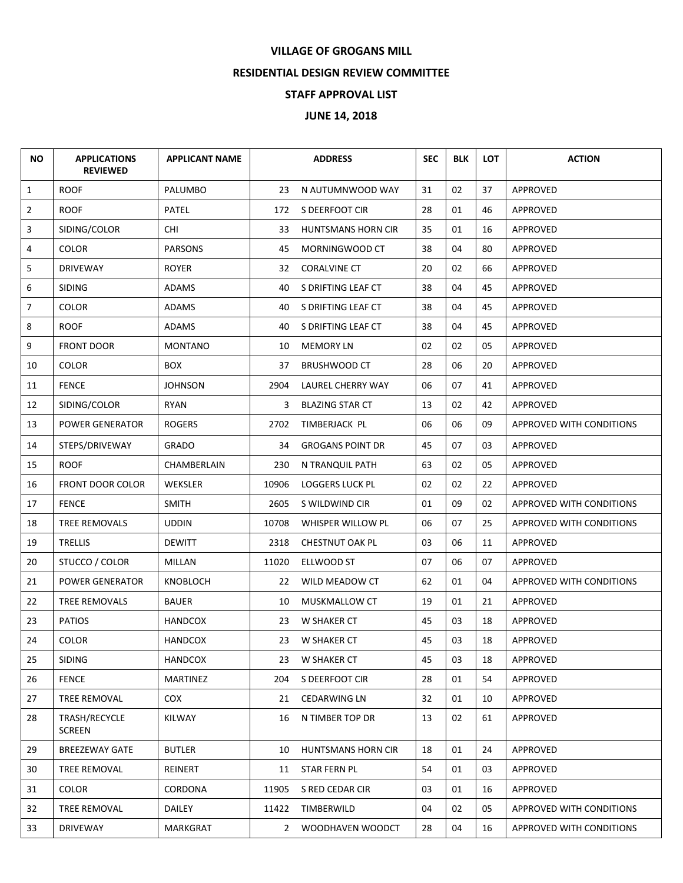## **VILLAGE OF GROGANS MILL**

## **RESIDENTIAL DESIGN REVIEW COMMITTEE**

## **STAFF APPROVAL LIST**

## **JUNE 14, 2018**

| <b>NO</b>      | <b>APPLICATIONS</b><br><b>REVIEWED</b> | <b>APPLICANT NAME</b> |              | <b>ADDRESS</b>            | <b>SEC</b> | <b>BLK</b> | <b>LOT</b> | <b>ACTION</b>            |
|----------------|----------------------------------------|-----------------------|--------------|---------------------------|------------|------------|------------|--------------------------|
| $\mathbf{1}$   | <b>ROOF</b>                            | PALUMBO               | 23           | N AUTUMNWOOD WAY          | 31         | 02         | 37         | APPROVED                 |
| $\overline{2}$ | <b>ROOF</b>                            | PATEL                 | 172          | S DEERFOOT CIR            | 28         | 01         | 46         | APPROVED                 |
| 3              | SIDING/COLOR                           | CHI.                  | 33           | <b>HUNTSMANS HORN CIR</b> | 35         | 01         | 16         | APPROVED                 |
| 4              | <b>COLOR</b>                           | <b>PARSONS</b>        | 45           | MORNINGWOOD CT            | 38         | 04         | 80         | APPROVED                 |
| 5              | <b>DRIVEWAY</b>                        | ROYER                 | 32           | <b>CORALVINE CT</b>       | 20         | 02         | 66         | APPROVED                 |
| 6              | <b>SIDING</b>                          | ADAMS                 | 40           | S DRIFTING LEAF CT        | 38         | 04         | 45         | APPROVED                 |
| $\overline{7}$ | <b>COLOR</b>                           | ADAMS                 | 40           | S DRIFTING LEAF CT        | 38         | 04         | 45         | APPROVED                 |
| 8              | <b>ROOF</b>                            | ADAMS                 | 40           | S DRIFTING LEAF CT        | 38         | 04         | 45         | APPROVED                 |
| 9              | <b>FRONT DOOR</b>                      | <b>MONTANO</b>        | 10           | <b>MEMORY LN</b>          | 02         | 02         | 05         | APPROVED                 |
| 10             | <b>COLOR</b>                           | <b>BOX</b>            | 37           | <b>BRUSHWOOD CT</b>       | 28         | 06         | 20         | APPROVED                 |
| 11             | <b>FENCE</b>                           | <b>JOHNSON</b>        | 2904         | LAUREL CHERRY WAY         | 06         | 07         | 41         | APPROVED                 |
| 12             | SIDING/COLOR                           | RYAN                  | 3            | <b>BLAZING STAR CT</b>    | 13         | 02         | 42         | APPROVED                 |
| 13             | <b>POWER GENERATOR</b>                 | <b>ROGERS</b>         | 2702         | TIMBERJACK PL             | 06         | 06         | 09         | APPROVED WITH CONDITIONS |
| 14             | STEPS/DRIVEWAY                         | <b>GRADO</b>          | 34           | <b>GROGANS POINT DR</b>   | 45         | 07         | 03         | APPROVED                 |
| 15             | <b>ROOF</b>                            | CHAMBERLAIN           | 230          | N TRANQUIL PATH           | 63         | 02         | 05         | APPROVED                 |
| 16             | <b>FRONT DOOR COLOR</b>                | WEKSLER               | 10906        | <b>LOGGERS LUCK PL</b>    | 02         | 02         | 22         | APPROVED                 |
| 17             | <b>FENCE</b>                           | <b>SMITH</b>          | 2605         | S WILDWIND CIR            | 01         | 09         | 02         | APPROVED WITH CONDITIONS |
| 18             | TREE REMOVALS                          | <b>UDDIN</b>          | 10708        | WHISPER WILLOW PL         | 06         | 07         | 25         | APPROVED WITH CONDITIONS |
| 19             | <b>TRELLIS</b>                         | <b>DEWITT</b>         | 2318         | CHESTNUT OAK PL           | 03         | 06         | 11         | APPROVED                 |
| 20             | STUCCO / COLOR                         | MILLAN                | 11020        | ELLWOOD ST                | 07         | 06         | 07         | APPROVED                 |
| 21             | POWER GENERATOR                        | KNOBLOCH              | 22           | WILD MEADOW CT            | 62         | 01         | 04         | APPROVED WITH CONDITIONS |
| 22             | <b>TREE REMOVALS</b>                   | BAUER                 | 10           | MUSKMALLOW CT             | 19         | 01         | 21         | APPROVED                 |
| 23             | <b>PATIOS</b>                          | <b>HANDCOX</b>        | 23           | W SHAKER CT               | 45         | 03         | 18         | APPROVED                 |
| 24             | <b>COLOR</b>                           | <b>HANDCOX</b>        | 23           | W SHAKER CT               | 45         | 03         | 18         | APPROVED                 |
| 25             | <b>SIDING</b>                          | <b>HANDCOX</b>        | 23           | W SHAKER CT               | 45         | 03         | 18         | APPROVED                 |
| 26             | <b>FENCE</b>                           | MARTINEZ              | 204          | S DEERFOOT CIR            | 28         | 01         | 54         | APPROVED                 |
| 27             | <b>TREE REMOVAL</b>                    | COX.                  | 21           | <b>CEDARWING LN</b>       | 32         | 01         | 10         | APPROVED                 |
| 28             | TRASH/RECYCLE<br><b>SCREEN</b>         | <b>KILWAY</b>         | 16           | N TIMBER TOP DR           | 13         | 02         | 61         | <b>APPROVED</b>          |
| 29             | <b>BREEZEWAY GATE</b>                  | <b>BUTLER</b>         | 10           | HUNTSMANS HORN CIR        | 18         | 01         | 24         | APPROVED                 |
| 30             | <b>TREE REMOVAL</b>                    | REINERT               | 11           | STAR FERN PL              | 54         | 01         | 03         | APPROVED                 |
| 31             | COLOR                                  | <b>CORDONA</b>        | 11905        | S RED CEDAR CIR           | 03         | 01         | 16         | APPROVED                 |
| 32             | TREE REMOVAL                           | DAILEY                | 11422        | TIMBERWILD                | 04         | 02         | 05         | APPROVED WITH CONDITIONS |
| 33             | DRIVEWAY                               | MARKGRAT              | $\mathbf{2}$ | WOODHAVEN WOODCT          | 28         | 04         | 16         | APPROVED WITH CONDITIONS |